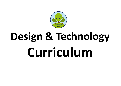

# **Design & Technology Curriculum**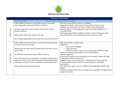

|                | <b>Expressive arts and design</b>                                                                                                     |                                                                                                                                                                                                       |  |  |  |  |
|----------------|---------------------------------------------------------------------------------------------------------------------------------------|-------------------------------------------------------------------------------------------------------------------------------------------------------------------------------------------------------|--|--|--|--|
|                | Children will be learning to                                                                                                          | <b>Examples of how to support this</b>                                                                                                                                                                |  |  |  |  |
| Birth to three | Explore different materials, using all their senses to investigate<br>them. Manipulate and play with different materials.             | Stimulate young children's interest in modelling.<br>Suggestions: provide a wide range of found materials ('junk') as well<br>as blocks, clay, soft wood, card, offcuts of fabrics and materials with |  |  |  |  |
|                | Use their imagination as they consider what they can do with<br>different materials.                                                  | different textures. Provide appropriate tools and joining methods for the<br>materials offered.                                                                                                       |  |  |  |  |
|                | Make simple models which express their ideas.                                                                                         | Encourage young children to explore materials/ resources finding out what<br>they are/what they can do and decide how they want to use them.                                                          |  |  |  |  |
|                | Start eating independently and learning how to use a knife and fork                                                                   |                                                                                                                                                                                                       |  |  |  |  |
| 4-year olds    | Explore different materials freely, to develop their ideas about how                                                                  | Offer opportunities to explore scale.                                                                                                                                                                 |  |  |  |  |
|                | to use them and what to make.                                                                                                         | Suggestions:<br>• long strips of wallpaper                                                                                                                                                            |  |  |  |  |
|                | Develop their own ideas and then decide which materials to use to<br>express them.                                                    | • child size boxes<br>• different surfaces to work on e.g., paving, floor, tabletop or easel<br>Listen and understand what children want to create before                                             |  |  |  |  |
|                | Join different materials and explore different textures.                                                                              | offering suggestions.                                                                                                                                                                                 |  |  |  |  |
|                |                                                                                                                                       | Invite artists, musicians and craftspeople into the setting, to widen the range                                                                                                                       |  |  |  |  |
|                | Use one-handed tools and equipment, for example, making snips in                                                                      | of ideas which children can draw on.                                                                                                                                                                  |  |  |  |  |
| ∞<br>$\infty$  | paper with scissors. Use a comfortable grip with good control when<br>holding pens and pencils. Show a preference for a dominant hand | Suggestions: glue and masking tape for sticking pieces of scrap materials<br>onto old cardboard boxes, hammers and nails, glue guns, paperclips<br>and fasteners.                                     |  |  |  |  |
|                | Make healthy choices about food, drink.                                                                                               | Give children the opportunity to try different fruits/vegetables/healthy food                                                                                                                         |  |  |  |  |
|                |                                                                                                                                       | options.                                                                                                                                                                                              |  |  |  |  |
|                |                                                                                                                                       | Children to prepare simple food e.g. chopping fruit vegetables, mixing/kneading<br>dough for bread etc.                                                                                               |  |  |  |  |
|                |                                                                                                                                       |                                                                                                                                                                                                       |  |  |  |  |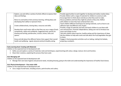

| Explore, use and refine a variety of artistic effects to express their<br>Provide opportunities to work together to develop and realise creative ideas.<br>Provide children with a range of materials for children to construct with.<br>ideas and feelings.<br>Encourage them to think about and discuss what they want to make.<br>Discuss problems and how they might be solved as they arise. Reflect<br>Return to and build on their previous learning, refining ideas and<br>developing their ability to represent them.<br>with children on how they have achieved their aims.<br>Teach children different techniques for joining materials, such as how to use<br>adhesive tape and different sorts of glue.<br>Create collaboratively, sharing ideas, resources and skills. |  |
|--------------------------------------------------------------------------------------------------------------------------------------------------------------------------------------------------------------------------------------------------------------------------------------------------------------------------------------------------------------------------------------------------------------------------------------------------------------------------------------------------------------------------------------------------------------------------------------------------------------------------------------------------------------------------------------------------------------------------------------------------------------------------------------|--|
|                                                                                                                                                                                                                                                                                                                                                                                                                                                                                                                                                                                                                                                                                                                                                                                      |  |
|                                                                                                                                                                                                                                                                                                                                                                                                                                                                                                                                                                                                                                                                                                                                                                                      |  |
|                                                                                                                                                                                                                                                                                                                                                                                                                                                                                                                                                                                                                                                                                                                                                                                      |  |
|                                                                                                                                                                                                                                                                                                                                                                                                                                                                                                                                                                                                                                                                                                                                                                                      |  |
|                                                                                                                                                                                                                                                                                                                                                                                                                                                                                                                                                                                                                                                                                                                                                                                      |  |
|                                                                                                                                                                                                                                                                                                                                                                                                                                                                                                                                                                                                                                                                                                                                                                                      |  |
|                                                                                                                                                                                                                                                                                                                                                                                                                                                                                                                                                                                                                                                                                                                                                                                      |  |
| Provide a range of materials and tools and teach children to use them with                                                                                                                                                                                                                                                                                                                                                                                                                                                                                                                                                                                                                                                                                                           |  |
| Reception<br>Develop their small motor skills so that they can use a range of tools<br>care and precision. Promote independence, taking care not to introduce too                                                                                                                                                                                                                                                                                                                                                                                                                                                                                                                                                                                                                    |  |
| competently, safely and confidently. Suggested tools: pencils for<br>many new things at once.                                                                                                                                                                                                                                                                                                                                                                                                                                                                                                                                                                                                                                                                                        |  |
| drawing and writing, paintbrushes, scissors, knives, forks and<br>Talk with children about exercise, healthy eating and the importance of sleep.                                                                                                                                                                                                                                                                                                                                                                                                                                                                                                                                                                                                                                     |  |
| Ask the children to help with snack and talk about the fruit/vegetables they get<br>spoons.                                                                                                                                                                                                                                                                                                                                                                                                                                                                                                                                                                                                                                                                                          |  |
| to share.                                                                                                                                                                                                                                                                                                                                                                                                                                                                                                                                                                                                                                                                                                                                                                            |  |
| Know and talk about the different factors that support their overall<br>Engage in food preparation activities such as: baking, making fruit kebabs,                                                                                                                                                                                                                                                                                                                                                                                                                                                                                                                                                                                                                                  |  |
| health and wellbeing: regular physical activity & healthy eating<br>preparing a sandwich.                                                                                                                                                                                                                                                                                                                                                                                                                                                                                                                                                                                                                                                                                            |  |
|                                                                                                                                                                                                                                                                                                                                                                                                                                                                                                                                                                                                                                                                                                                                                                                      |  |

## **Early Learning Goal: Creating with Materials**

Children at the expected level of development will:

- Safely use and explore a variety of materials, tools and techniques, experimenting with colour, design, texture, form and function;
- Share their creations, explaining the process they have used;

## **ELG: Managing self**

Children at the expected level of development will:

• Manage their own basic hygiene and personal needs, including dressing, going to the toilet and understanding the importance of healthy food choices.

## **ELG: Physical development – Fine motor skills**

Children at the expected level of development will:

• Use a range of small tools, including scissors, paint brushes and cutlery.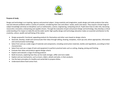

# **Purpose of study**

Design and technology is an inspiring, rigorous and practical subject. Using creativity and imagination, pupils design and make products that solve real and relevant problems within a variety of contexts, considering their own and others' needs, wants and values. They acquire a broad range of subject knowledge and draw on disciplines such as mathematics, science, engineering, computing and art. Pupils learn how to take risks, becoming resourceful, innovative, enterprising and capable citizens. Through the evaluation of past and present design and technology, they develop a critical understanding of its impact on daily life and the wider world. High-quality design and technology education makes an essential contribution to the creativity, culture, wealth and well-being of the nation.

- Design purposeful, functional, appealing products for themselves and other users based on design criteria
- Generate, develop, model and communicate their ideas through talking, drawing, templates, mock-ups and, where appropriate, information and communication technology
- Select from and use a wide range of materials and components, including construction materials, textiles and ingredients, according to their characteristics
- Select from and use a range of tools and equipment to perform practical tasks such as cutting, shaping, joining and finishing
- Evaluate their ideas and products against design criteria
- Explore and evaluate a range of existing products
- Build structures, exploring how they can be made stronger, stiffer and more stable
- Explore and use mechanisms, such as levers, sliders, wheels and axles, in their products.
- Use the basic principles of a healthy and varied diet to prepare dishes.
- Understand where food comes from.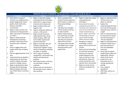

| MINIMUM EXPECTED STANDARDS - By the end of Year 1 most pupils should be able to:                                                                                                                                                                                                                                  |                                                                                                                                                                                                                                                                                                                                   |                                                                                                                                                                                                                                                                                     |                                                                                                                                                                                                                                                                                                                |                                                                                                                                                                                                                                                               |  |  |  |
|-------------------------------------------------------------------------------------------------------------------------------------------------------------------------------------------------------------------------------------------------------------------------------------------------------------------|-----------------------------------------------------------------------------------------------------------------------------------------------------------------------------------------------------------------------------------------------------------------------------------------------------------------------------------|-------------------------------------------------------------------------------------------------------------------------------------------------------------------------------------------------------------------------------------------------------------------------------------|----------------------------------------------------------------------------------------------------------------------------------------------------------------------------------------------------------------------------------------------------------------------------------------------------------------|---------------------------------------------------------------------------------------------------------------------------------------------------------------------------------------------------------------------------------------------------------------|--|--|--|
| <b>Designing</b>                                                                                                                                                                                                                                                                                                  | <b>Making</b>                                                                                                                                                                                                                                                                                                                     | <b>Evaluating</b>                                                                                                                                                                                                                                                                   | <b>Technical Knowledge</b>                                                                                                                                                                                                                                                                                     | <b>Cooking &amp; Nutrition</b>                                                                                                                                                                                                                                |  |  |  |
| Work within a range of<br>contexts e.g, imaginary/story-<br>based, playgrounds, home,<br>garden, local community,<br>industry and wider<br>environment.<br>Begin to draw on their own<br>$\bullet$                                                                                                                | Begin to make their design<br>$\bullet$<br>using appropriate techniques.<br>Select from a range of tools,<br>$\bullet$<br>materials and components<br>Begin to follow safety and<br>$\bullet$<br>hygiene rules<br>Explore using tools safely e.g.<br>$\bullet$                                                                    | Start to evaluate their<br>$\bullet$<br>product by discussing how<br>well it works in relation to<br>the purpose (design<br>criteria).<br>Talk about the strengths<br>of their product and how                                                                                      | Begin to make their design<br>$\bullet$<br>using appropriate<br>techniques.<br>Know about the simple<br>$\bullet$<br>working characteristics of<br>materials and components<br>such as the movement of                                                                                                         | Begin to understand that<br>$\bullet$<br>all food comes from<br>plants or animals.<br>Explore the<br>understanding that food<br>has to be farmed, grown<br>elsewhere (e.g. home) or                                                                           |  |  |  |
| experience to help generate<br>ideas and research conducted<br>on criteria.<br>Begin to understand the<br>$\bullet$<br>development of existing<br>products: what they are for,<br>how they work, materials<br>used.<br>Start to suggest ideas and<br>explain what they are going<br>to do.                        | scissors, a hole punch.<br>Begin to build structures,<br>exploring how they can be<br>made stronger, stiffer and<br>more stable. See focused<br>practical task (FPT)<br>Begin to assemble, join and<br>$\bullet$<br>combine materials and<br>components together using a<br>variety of temporary methods<br>e.g. glues or masking | to make it better<br><b>Explore what products</b><br>$\bullet$<br>are, what they are made<br>from, who they are for,<br>how they are used and<br>where they are from.<br>Talk about what they like<br>$\bullet$<br>and dislike from a range<br>existing products and<br>explain why | simple mechanisms eg,<br>levers, sliders. Know how<br>freestanding structures<br>can be made stronger,<br>stiffer and more stable.<br>Recognise a range of<br>$\bullet$<br>technology is used in<br>places such as homes and<br>schools.<br>Select and use technology<br>$\bullet$<br>for particular purposes. | caught.<br>Start to understand how<br>to name and sort foods<br>into the five groups in<br>'The Eat well plate'.<br>Begin to understand that<br>everyone should eat at<br>least five portions of<br>fruit and vegetables<br>every day.<br>Know how to prepare |  |  |  |
| Plan by suggesting what to do<br>$\bullet$<br>next<br>Understand how to identify a<br>target group for what they<br>intend to design and make<br>based on a design criteria.<br>Begin to develop their ideas<br>through talk and drawings.<br>Make templates and mock<br>ups of their ideas in card and<br>paper. | Use a range of materials,<br>components, construction kits,<br>textiles and mechanical<br>products.<br>With help measure, mark out,<br>cut and shape a range of<br>materials.<br>Explore and use mechanisms<br>$\bullet$<br>[for example, levers, sliders, in<br>their products.                                                  |                                                                                                                                                                                                                                                                                     | Know how to operate<br>simple equipment and<br>show an interest in toys<br>with buttons, flaps and<br>simple mechanisms and<br>operate them successfully.<br>Begin to use the correct<br>$\bullet$<br>technical vocabulary for<br>projects.                                                                    | simple dishes safely and<br>hygienically, without<br>using a heat source.<br>Know how to use<br>$\bullet$<br>techniques such as<br>cutting, peeling and<br>grating.<br>Use a range of<br>ingredients<br>With help, cook on an<br>open fire.                   |  |  |  |